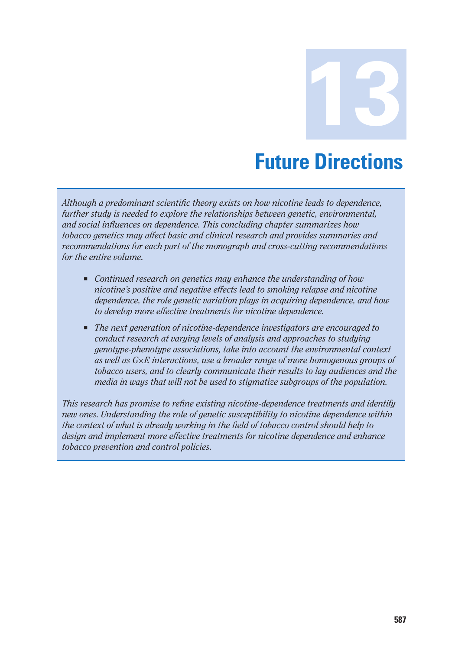**13 Future Directions** 

*Although a predominant scientific theory exists on how nicotine leads to dependence, further study is needed to explore the relationships between genetic, environmental, and social influences on dependence. This concluding chapter summarizes how tobacco genetics may affect basic and clinical research and provides summaries and recommendations for each part of the monograph and cross-cutting recommendations for the entire volume.* 

- Continued research on genetics may enhance the understanding of how *nicotine's positive and negative effects lead to smoking relapse and nicotine dependence, the role genetic variation plays in acquiring dependence, and how to develop more effective treatments for nicotine dependence.*
- The next generation of nicotine-dependence investigators are encouraged to *conduct research at varying levels of analysis and approaches to studying genotype-phenotype associations, take into account the environmental context as well as G×E interactions, use a broader range of more homogenous groups of tobacco users, and to clearly communicate their results to lay audiences and the media in ways that will not be used to stigmatize subgroups of the population.*

*This research has promise to refine existing nicotine-dependence treatments and identify new ones. Understanding the role of genetic susceptibility to nicotine dependence within the context of what is already working in the field of tobacco control should help to design and implement more effective treatments for nicotine dependence and enhance tobacco prevention and control policies.*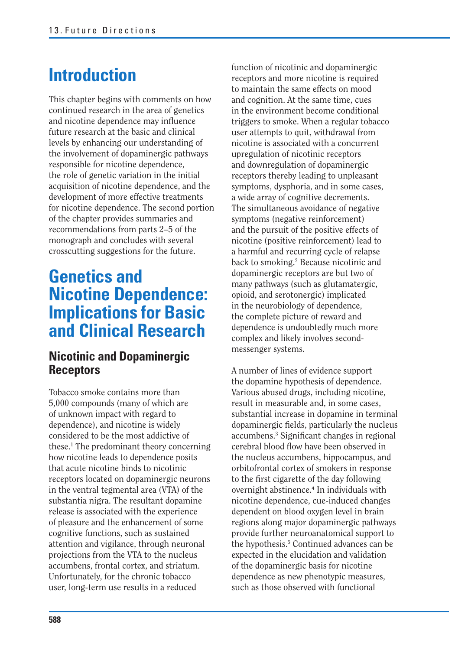# **Introduction**

This chapter begins with comments on how continued research in the area of genetics and nicotine dependence may influence future research at the basic and clinical levels by enhancing our understanding of the involvement of dopaminergic pathways responsible for nicotine dependence, the role of genetic variation in the initial acquisition of nicotine dependence, and the development of more effective treatments for nicotine dependence. The second portion of the chapter provides summaries and recommendations from parts 2–5 of the monograph and concludes with several crosscutting suggestions for the future.

### **Genetics and Nicotine Dependence: Implications for Basic and Clinical Research**

#### **Nicotinic and Dopaminergic Receptors**

Tobacco smoke contains more than 5,000 compounds (many of which are of unknown impact with regard to dependence), and nicotine is widely considered to be the most addictive of these.1 The predominant theory concerning how nicotine leads to dependence posits that acute nicotine binds to nicotinic receptors located on dopaminergic neurons in the ventral tegmental area (VTA) of the substantia nigra. The resultant dopamine release is associated with the experience of pleasure and the enhancement of some cognitive functions, such as sustained attention and vigilance, through neuronal projections from the VTA to the nucleus accumbens, frontal cortex, and striatum. Unfortunately, for the chronic tobacco user, long-term use results in a reduced

function of nicotinic and dopaminergic receptors and more nicotine is required to maintain the same effects on mood and cognition. At the same time, cues in the environment become conditional triggers to smoke. When a regular tobacco user attempts to quit, withdrawal from nicotine is associated with a concurrent upregulation of nicotinic receptors and downregulation of dopaminergic receptors thereby leading to unpleasant symptoms, dysphoria, and in some cases, a wide array of cognitive decrements. The simultaneous avoidance of negative symptoms (negative reinforcement) and the pursuit of the positive effects of nicotine (positive reinforcement) lead to a harmful and recurring cycle of relapse back to smoking.<sup>2</sup> Because nicotinic and dopaminergic receptors are but two of many pathways (such as glutamatergic, opioid, and serotonergic) implicated in the neurobiology of dependence, the complete picture of reward and dependence is undoubtedly much more complex and likely involves secondmessenger systems.

A number of lines of evidence support the dopamine hypothesis of dependence. Various abused drugs, including nicotine, result in measurable and, in some cases, substantial increase in dopamine in terminal dopaminergic fields, particularly the nucleus accumbens.3 Significant changes in regional cerebral blood flow have been observed in the nucleus accumbens, hippocampus, and orbitofrontal cortex of smokers in response to the first cigarette of the day following overnight abstinence.<sup>4</sup> In individuals with nicotine dependence, cue-induced changes dependent on blood oxygen level in brain regions along major dopaminergic pathways provide further neuroanatomical support to the hypothesis.<sup>5</sup> Continued advances can be expected in the elucidation and validation of the dopaminergic basis for nicotine dependence as new phenotypic measures, such as those observed with functional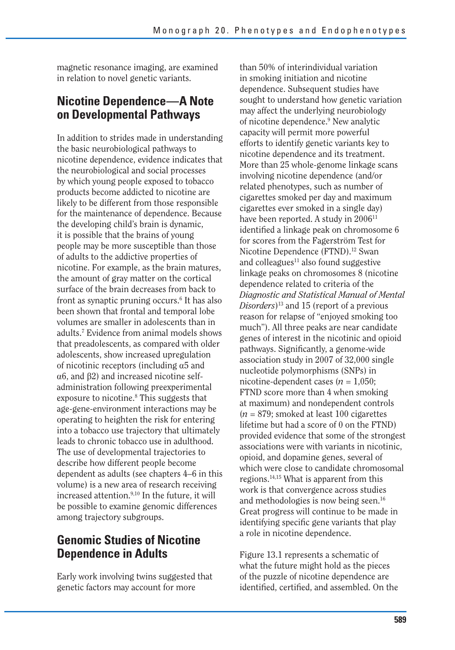magnetic resonance imaging, are examined in relation to novel genetic variants.

#### **Nicotine Dependence—A Note on Developmental Pathways**

In addition to strides made in understanding the basic neurobiological pathways to nicotine dependence, evidence indicates that the neurobiological and social processes by which young people exposed to tobacco products become addicted to nicotine are likely to be different from those responsible for the maintenance of dependence. Because the developing child's brain is dynamic, it is possible that the brains of young people may be more susceptible than those of adults to the addictive properties of nicotine. For example, as the brain matures, the amount of gray matter on the cortical surface of the brain decreases from back to front as synaptic pruning occurs.<sup>6</sup> It has also been shown that frontal and temporal lobe volumes are smaller in adolescents than in adults.7 Evidence from animal models shows that preadolescents, as compared with older adolescents, show increased upregulation of nicotinic receptors (including  $\alpha$ 5 and  $\alpha$ 6, and  $\beta$ 2) and increased nicotine selfadministration following preexperimental exposure to nicotine.<sup>8</sup> This suggests that age-gene-environment interactions may be operating to heighten the risk for entering into a tobacco use trajectory that ultimately leads to chronic tobacco use in adulthood. The use of developmental trajectories to describe how different people become dependent as adults (see chapters 4–6 in this volume) is a new area of research receiving increased attention.<sup>9,10</sup> In the future, it will be possible to examine genomic differences among trajectory subgroups.

#### **Genomic Studies of Nicotine Dependence in Adults**

Early work involving twins suggested that genetic factors may account for more

than 50% of interindividual variation in smoking initiation and nicotine dependence. Subsequent studies have sought to understand how genetic variation may affect the underlying neurobiology of nicotine dependence.<sup>9</sup> New analytic capacity will permit more powerful efforts to identify genetic variants key to nicotine dependence and its treatment. More than 25 whole-genome linkage scans involving nicotine dependence (and/or related phenotypes, such as number of cigarettes smoked per day and maximum cigarettes ever smoked in a single day) have been reported. A study in 2006<sup>11</sup> identified a linkage peak on chromosome 6 for scores from the Fagerström Test for Nicotine Dependence (FTND).<sup>12</sup> Swan and colleagues<sup>11</sup> also found suggestive linkage peaks on chromosomes 8 (nicotine dependence related to criteria of the *Diagnostic and Statistical Manual of Mental Disorders*)13 and 15 (report of a previous reason for relapse of "enjoyed smoking too much"). All three peaks are near candidate genes of interest in the nicotinic and opioid pathways. Significantly, a genome-wide association study in 2007 of 32,000 single nucleotide polymorphisms (SNPs) in nicotine-dependent cases ( $n = 1,050$ ; FTND score more than 4 when smoking at maximum) and nondependent controls  $(n = 879;$  smoked at least 100 cigarettes lifetime but had a score of 0 on the FTND) provided evidence that some of the strongest associations were with variants in nicotinic, opioid, and dopamine genes, several of which were close to candidate chromosomal regions.14,15 What is apparent from this work is that convergence across studies and methodologies is now being seen.16 Great progress will continue to be made in identifying specific gene variants that play a role in nicotine dependence.

Figure 13.1 represents a schematic of what the future might hold as the pieces of the puzzle of nicotine dependence are identified, certified, and assembled. On the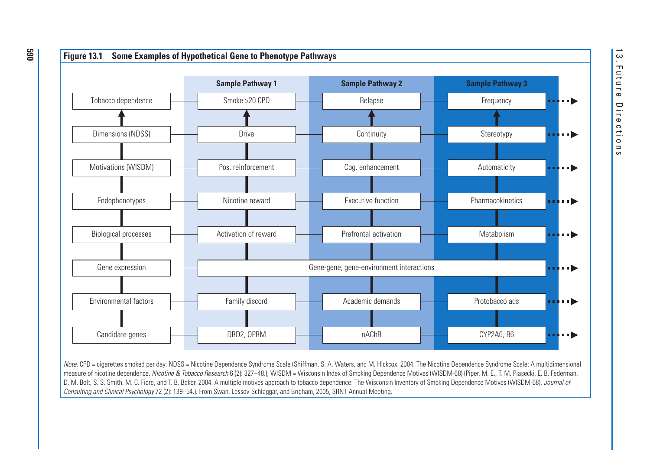

Note. CPD = cigarettes smoked per day; NDSS = Nicotine Dependence Syndrome Scale (Shiffman, S. A. Waters, and M. Hickcox. 2004. The Nicotine Dependence Syndrome Scale: A multidimensional measure of nicotine dependence. Nicotine & Tobacco Research 6 (2): 327-48.); WISDM = Wisconsin Index of Smoking Dependence Motives (WISDM-68) (Piper, M. E., T. M. Piasecki, E. B. Federman, D. M. Bolt, S. S. Smith, M. C. Fiore, and T. B. Baker. 2004. A multiple motives approach to tobacco dependence: The Wisconsin Inventory of Smoking Dependence Motives (WISDM-68). Journal of Consulting and Clinical Psychology 72 (2): 139–54.). From Swan, Lessov-Schlaggar, and Brigham, 2005, SRNT Annual Meeting.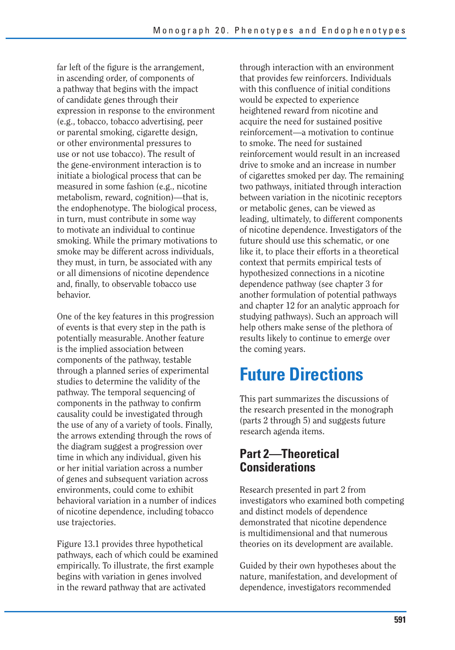far left of the figure is the arrangement, in ascending order, of components of a pathway that begins with the impact of candidate genes through their expression in response to the environment (e.g., tobacco, tobacco advertising, peer or parental smoking, cigarette design, or other environmental pressures to use or not use tobacco). The result of the gene-environment interaction is to initiate a biological process that can be measured in some fashion (e.g., nicotine metabolism, reward, cognition)—that is, the endophenotype. The biological process, in turn, must contribute in some way to motivate an individual to continue smoking. While the primary motivations to smoke may be different across individuals, they must, in turn, be associated with any or all dimensions of nicotine dependence and, finally, to observable tobacco use behavior.

One of the key features in this progression of events is that every step in the path is potentially measurable. Another feature is the implied association between components of the pathway, testable through a planned series of experimental studies to determine the validity of the pathway. The temporal sequencing of components in the pathway to confirm causality could be investigated through the use of any of a variety of tools. Finally, the arrows extending through the rows of the diagram suggest a progression over time in which any individual, given his or her initial variation across a number of genes and subsequent variation across environments, could come to exhibit behavioral variation in a number of indices of nicotine dependence, including tobacco use trajectories.

Figure 13.1 provides three hypothetical pathways, each of which could be examined empirically. To illustrate, the first example begins with variation in genes involved in the reward pathway that are activated

through interaction with an environment that provides few reinforcers. Individuals with this confluence of initial conditions would be expected to experience heightened reward from nicotine and acquire the need for sustained positive reinforcement—a motivation to continue to smoke. The need for sustained reinforcement would result in an increased drive to smoke and an increase in number of cigarettes smoked per day. The remaining two pathways, initiated through interaction between variation in the nicotinic receptors or metabolic genes, can be viewed as leading, ultimately, to different components of nicotine dependence. Investigators of the future should use this schematic, or one like it, to place their efforts in a theoretical context that permits empirical tests of hypothesized connections in a nicotine dependence pathway (see chapter 3 for another formulation of potential pathways and chapter 12 for an analytic approach for studying pathways). Such an approach will help others make sense of the plethora of results likely to continue to emerge over the coming years.

# **Future Directions**

This part summarizes the discussions of the research presented in the monograph (parts 2 through 5) and suggests future research agenda items.

#### **Part 2—Theoretical Considerations**

Research presented in part 2 from investigators who examined both competing and distinct models of dependence demonstrated that nicotine dependence is multidimensional and that numerous theories on its development are available.

Guided by their own hypotheses about the nature, manifestation, and development of dependence, investigators recommended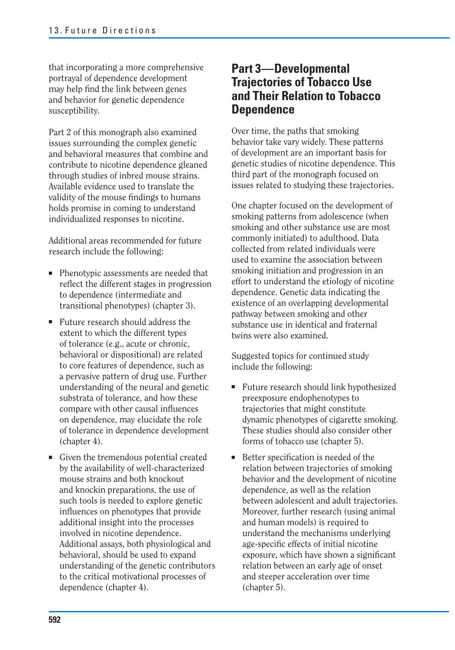that incorporating a more comprehensive portrayal of dependence development may help find the link between genes and behavior for genetic dependence susceptibility.

Part 2 of this monograph also examined issues surrounding the complex genetic and behavioral measures that combine and contribute to nicotine dependence gleaned through studies of inbred mouse strains. Available evidence used to translate the validity of the mouse findings to humans holds promise in coming to understand individualized responses to nicotine.

Additional areas recommended for future research include the following:

- Phenotypic assessments are needed that reflect the different stages in progression to dependence (intermediate and transitional phenotypes) (chapter 3).
- Future research should address the extent to which the different types of tolerance (e.g., acute or chronic, behavioral or dispositional) are related to core features of dependence, such as a pervasive pattern of drug use. Further understanding of the neural and genetic substrata of tolerance, and how these compare with other causal influences on dependence, may elucidate the role of tolerance in dependence development (chapter 4).
- Given the tremendous potential created by the availability of well-characterized mouse strains and both knockout and knockin preparations, the use of such tools is needed to explore genetic influences on phenotypes that provide additional insight into the processes involved in nicotine dependence. Additional assays, both physiological and behavioral, should be used to expand understanding of the genetic contributors to the critical motivational processes of dependence (chapter 4).

#### **Part 3—Developmental Trajectories of Tobacco Use and Their Relation to Tobacco Dependence**

Over time, the paths that smoking behavior take vary widely. These patterns of development are an important basis for genetic studies of nicotine dependence. This third part of the monograph focused on issues related to studying these trajectories.

One chapter focused on the development of smoking patterns from adolescence (when smoking and other substance use are most commonly initiated) to adulthood. Data collected from related individuals were used to examine the association between smoking initiation and progression in an effort to understand the etiology of nicotine dependence. Genetic data indicating the existence of an overlapping developmental pathway between smoking and other substance use in identical and fraternal twins were also examined.

Suggested topics for continued study include the following:

- Future research should link hypothesized preexposure endophenotypes to trajectories that might constitute dynamic phenotypes of cigarette smoking. These studies should also consider other forms of tobacco use (chapter 5).
- Better specification is needed of the relation between trajectories of smoking behavior and the development of nicotine dependence, as well as the relation between adolescent and adult trajectories. Moreover, further research (using animal and human models) is required to understand the mechanisms underlying age-specific effects of initial nicotine exposure, which have shown a significant relation between an early age of onset and steeper acceleration over time (chapter 5).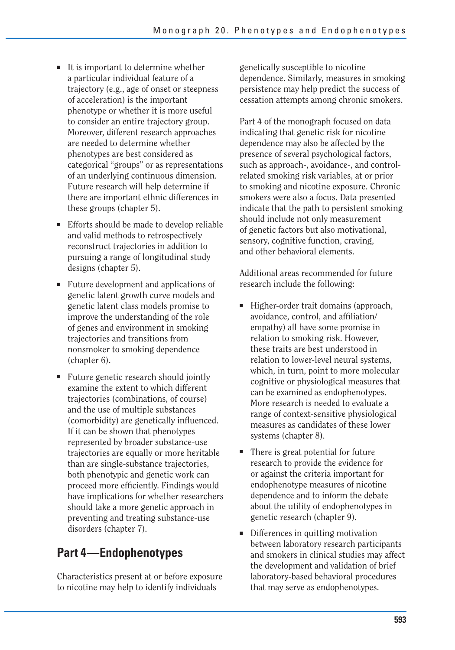- It is important to determine whether a particular individual feature of a trajectory (e.g., age of onset or steepness of acceleration) is the important phenotype or whether it is more useful to consider an entire trajectory group. Moreover, different research approaches are needed to determine whether phenotypes are best considered as categorical "groups" or as representations of an underlying continuous dimension. Future research will help determine if there are important ethnic differences in these groups (chapter 5).
- Efforts should be made to develop reliable and valid methods to retrospectively reconstruct trajectories in addition to pursuing a range of longitudinal study designs (chapter 5).
- Future development and applications of genetic latent growth curve models and genetic latent class models promise to improve the understanding of the role of genes and environment in smoking trajectories and transitions from nonsmoker to smoking dependence (chapter 6).
- Future genetic research should jointly examine the extent to which different trajectories (combinations, of course) and the use of multiple substances (comorbidity) are genetically influenced. If it can be shown that phenotypes represented by broader substance-use trajectories are equally or more heritable than are single-substance trajectories, both phenotypic and genetic work can proceed more efficiently. Findings would have implications for whether researchers should take a more genetic approach in preventing and treating substance-use disorders (chapter 7).

### **Part 4—Endophenotypes**

Characteristics present at or before exposure to nicotine may help to identify individuals

genetically susceptible to nicotine dependence. Similarly, measures in smoking persistence may help predict the success of cessation attempts among chronic smokers.

Part 4 of the monograph focused on data indicating that genetic risk for nicotine dependence may also be affected by the presence of several psychological factors, such as approach-, avoidance-, and controlrelated smoking risk variables, at or prior to smoking and nicotine exposure. Chronic smokers were also a focus. Data presented indicate that the path to persistent smoking should include not only measurement of genetic factors but also motivational, sensory, cognitive function, craving, and other behavioral elements.

Additional areas recommended for future research include the following:

- Higher-order trait domains (approach, avoidance, control, and affiliation/ empathy) all have some promise in relation to smoking risk. However, these traits are best understood in relation to lower-level neural systems, which, in turn, point to more molecular cognitive or physiological measures that can be examined as endophenotypes. More research is needed to evaluate a range of context-sensitive physiological measures as candidates of these lower systems (chapter 8).
- There is great potential for future research to provide the evidence for or against the criteria important for endophenotype measures of nicotine dependence and to inform the debate about the utility of endophenotypes in genetic research (chapter 9).
- Differences in quitting motivation between laboratory research participants and smokers in clinical studies may affect the development and validation of brief laboratory-based behavioral procedures that may serve as endophenotypes.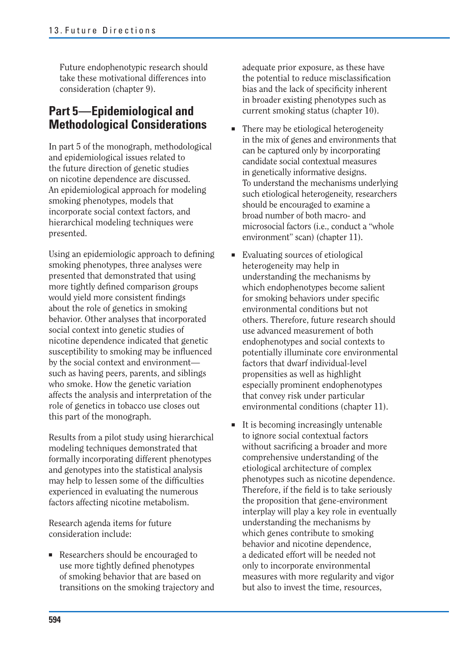Future endophenotypic research should take these motivational differences into consideration (chapter 9).

#### **Part 5—Epidemiological and Methodological Considerations**

In part 5 of the monograph, methodological and epidemiological issues related to the future direction of genetic studies on nicotine dependence are discussed. An epidemiological approach for modeling smoking phenotypes, models that incorporate social context factors, and hierarchical modeling techniques were presented.

Using an epidemiologic approach to defining smoking phenotypes, three analyses were presented that demonstrated that using more tightly defined comparison groups would yield more consistent findings about the role of genetics in smoking behavior. Other analyses that incorporated social context into genetic studies of nicotine dependence indicated that genetic susceptibility to smoking may be influenced by the social context and environment such as having peers, parents, and siblings who smoke. How the genetic variation affects the analysis and interpretation of the role of genetics in tobacco use closes out this part of the monograph.

Results from a pilot study using hierarchical modeling techniques demonstrated that formally incorporating different phenotypes and genotypes into the statistical analysis may help to lessen some of the difficulties experienced in evaluating the numerous factors affecting nicotine metabolism.

Research agenda items for future consideration include:

■ Researchers should be encouraged to use more tightly defined phenotypes of smoking behavior that are based on transitions on the smoking trajectory and

adequate prior exposure, as these have the potential to reduce misclassification bias and the lack of specificity inherent in broader existing phenotypes such as current smoking status (chapter 10).

- There may be etiological heterogeneity in the mix of genes and environments that can be captured only by incorporating candidate social contextual measures in genetically informative designs. To understand the mechanisms underlying such etiological heterogeneity, researchers should be encouraged to examine a broad number of both macro- and microsocial factors (i.e., conduct a "whole environment" scan) (chapter 11).
- Evaluating sources of etiological heterogeneity may help in understanding the mechanisms by which endophenotypes become salient for smoking behaviors under specific environmental conditions but not others. Therefore, future research should use advanced measurement of both endophenotypes and social contexts to potentially illuminate core environmental factors that dwarf individual-level propensities as well as highlight especially prominent endophenotypes that convey risk under particular environmental conditions (chapter 11).
- It is becoming increasingly untenable to ignore social contextual factors without sacrificing a broader and more comprehensive understanding of the etiological architecture of complex phenotypes such as nicotine dependence. Therefore, if the field is to take seriously the proposition that gene-environment interplay will play a key role in eventually understanding the mechanisms by which genes contribute to smoking behavior and nicotine dependence, a dedicated effort will be needed not only to incorporate environmental measures with more regularity and vigor but also to invest the time, resources,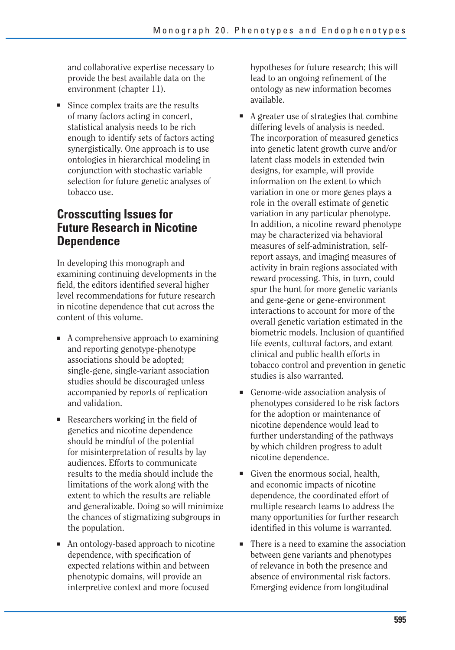and collaborative expertise necessary to provide the best available data on the environment (chapter 11).

■ Since complex traits are the results of many factors acting in concert, statistical analysis needs to be rich enough to identify sets of factors acting synergistically. One approach is to use ontologies in hierarchical modeling in conjunction with stochastic variable selection for future genetic analyses of tobacco use.

#### **Crosscutting Issues for Future Research in Nicotine Dependence**

In developing this monograph and examining continuing developments in the field, the editors identified several higher level recommendations for future research in nicotine dependence that cut across the content of this volume.

- A comprehensive approach to examining and reporting genotype-phenotype associations should be adopted; single-gene, single-variant association studies should be discouraged unless accompanied by reports of replication and validation.
- $\blacksquare$  Researchers working in the field of genetics and nicotine dependence should be mindful of the potential for misinterpretation of results by lay audiences. Efforts to communicate results to the media should include the limitations of the work along with the extent to which the results are reliable and generalizable. Doing so will minimize the chances of stigmatizing subgroups in the population.
- An ontology-based approach to nicotine dependence, with specification of expected relations within and between phenotypic domains, will provide an interpretive context and more focused

hypotheses for future research; this will lead to an ongoing refinement of the ontology as new information becomes available.

- A greater use of strategies that combine differing levels of analysis is needed. The incorporation of measured genetics into genetic latent growth curve and/or latent class models in extended twin designs, for example, will provide information on the extent to which variation in one or more genes plays a role in the overall estimate of genetic variation in any particular phenotype. In addition, a nicotine reward phenotype may be characterized via behavioral measures of self-administration, selfreport assays, and imaging measures of activity in brain regions associated with reward processing. This, in turn, could spur the hunt for more genetic variants and gene-gene or gene-environment interactions to account for more of the overall genetic variation estimated in the biometric models. Inclusion of quantified life events, cultural factors, and extant clinical and public health efforts in tobacco control and prevention in genetic studies is also warranted.
- Genome-wide association analysis of phenotypes considered to be risk factors for the adoption or maintenance of nicotine dependence would lead to further understanding of the pathways by which children progress to adult nicotine dependence.
- Given the enormous social, health, and economic impacts of nicotine dependence, the coordinated effort of multiple research teams to address the many opportunities for further research identified in this volume is warranted.
- There is a need to examine the association between gene variants and phenotypes of relevance in both the presence and absence of environmental risk factors. Emerging evidence from longitudinal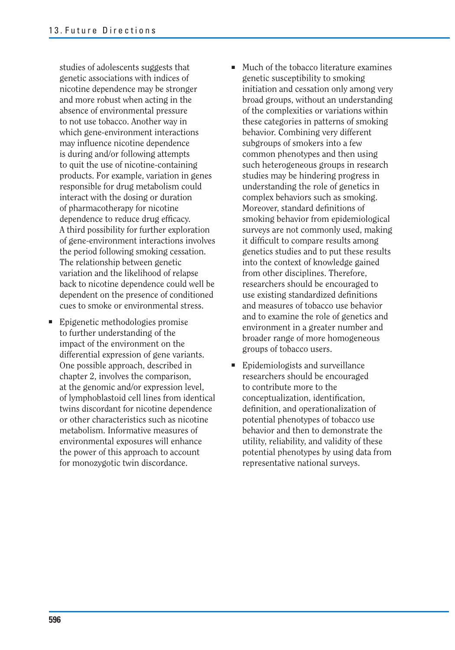studies of adolescents suggests that genetic associations with indices of nicotine dependence may be stronger and more robust when acting in the absence of environmental pressure to not use tobacco. Another way in which gene-environment interactions may influence nicotine dependence is during and/or following attempts to quit the use of nicotine-containing products. For example, variation in genes responsible for drug metabolism could interact with the dosing or duration of pharmacotherapy for nicotine dependence to reduce drug efficacy. A third possibility for further exploration of gene-environment interactions involves the period following smoking cessation. The relationship between genetic variation and the likelihood of relapse back to nicotine dependence could well be dependent on the presence of conditioned cues to smoke or environmental stress.

- Epigenetic methodologies promise to further understanding of the impact of the environment on the differential expression of gene variants. One possible approach, described in chapter 2, involves the comparison, at the genomic and/or expression level, of lymphoblastoid cell lines from identical twins discordant for nicotine dependence or other characteristics such as nicotine metabolism. Informative measures of environmental exposures will enhance the power of this approach to account for monozygotic twin discordance.
- Much of the tobacco literature examines genetic susceptibility to smoking initiation and cessation only among very broad groups, without an understanding of the complexities or variations within these categories in patterns of smoking behavior. Combining very different subgroups of smokers into a few common phenotypes and then using such heterogeneous groups in research studies may be hindering progress in understanding the role of genetics in complex behaviors such as smoking. Moreover, standard definitions of smoking behavior from epidemiological surveys are not commonly used, making it difficult to compare results among genetics studies and to put these results into the context of knowledge gained from other disciplines. Therefore, researchers should be encouraged to use existing standardized definitions and measures of tobacco use behavior and to examine the role of genetics and environment in a greater number and broader range of more homogeneous groups of tobacco users.
- Epidemiologists and surveillance researchers should be encouraged to contribute more to the conceptualization, identification, definition, and operationalization of potential phenotypes of tobacco use behavior and then to demonstrate the utility, reliability, and validity of these potential phenotypes by using data from representative national surveys.